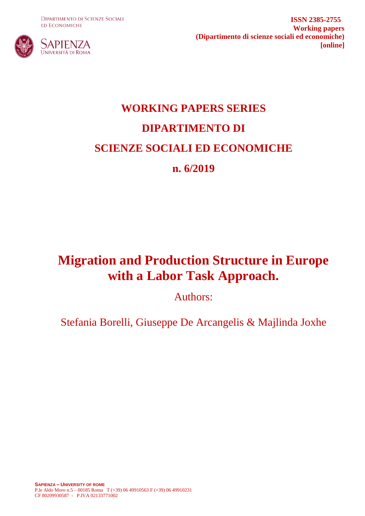**DIPARTIMENTO DI SCIENZE SOCIALI ED ECONOMICHE** 



**ISSN 2385-2755 Working papers (Dipartimento di scienze sociali ed economiche) [online]**

# **WORKING PAPERS SERIES DIPARTIMENTO DI SCIENZE SOCIALI ED ECONOMICHE n. 6/2019**

# **Migration and Production Structure in Europe with a Labor Task Approach.**

Authors:

Stefania Borelli, Giuseppe De Arcangelis & Majlinda Joxhe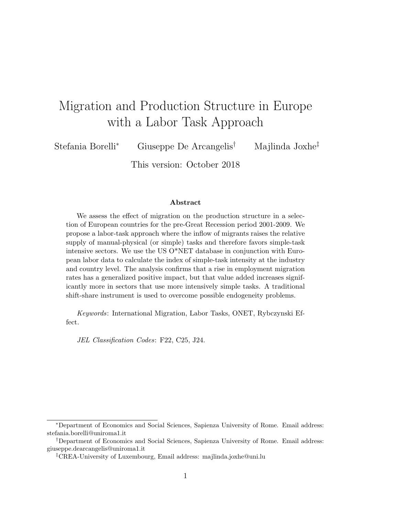# Migration and Production Structure in Europe with a Labor Task Approach

Stefania Borelli<sup>∗</sup> Giuseppe De Arcangelis† Majlinda Joxhe‡

This version: October 2018

#### Abstract

We assess the effect of migration on the production structure in a selection of European countries for the pre-Great Recession period 2001-2009. We propose a labor-task approach where the inflow of migrants raises the relative supply of manual-physical (or simple) tasks and therefore favors simple-task intensive sectors. We use the US O\*NET database in conjunction with European labor data to calculate the index of simple-task intensity at the industry and country level. The analysis confirms that a rise in employment migration rates has a generalized positive impact, but that value added increases significantly more in sectors that use more intensively simple tasks. A traditional shift-share instrument is used to overcome possible endogeneity problems.

Keywords: International Migration, Labor Tasks, ONET, Rybczynski Effect.

JEL Classification Codes: F22, C25, J24.

<sup>∗</sup>Department of Economics and Social Sciences, Sapienza University of Rome. Email address: stefania.borelli@uniroma1.it

<sup>†</sup>Department of Economics and Social Sciences, Sapienza University of Rome. Email address: giuseppe.dearcangelis@uniroma1.it

<sup>‡</sup>CREA-University of Luxembourg, Email address: majlinda.joxhe@uni.lu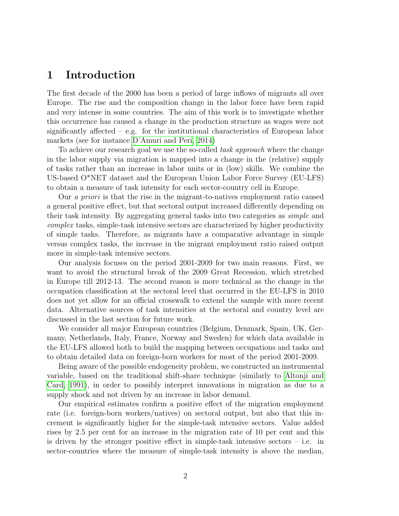### 1 Introduction

The first decade of the 2000 has been a period of large inflows of migrants all over Europe. The rise and the composition change in the labor force have been rapid and very intense in some countries. The aim of this work is to investigate whether this occurrence has caused a change in the production structure as wages were not significantly affected – e.g. for the institutional characteristics of European labor markets (see for instance [D'Amuri and Peri, 2014\)](#page-9-0)

To achieve our research goal we use the so-called task approach where the change in the labor supply via migration is mapped into a change in the (relative) supply of tasks rather than an increase in labor units or in (low) skills. We combine the US-based O\*NET dataset and the European Union Labor Force Survey (EU-LFS) to obtain a measure of task intensity for each sector-country cell in Europe.

Our a priori is that the rise in the migrant-to-natives employment ratio caused a general positive effect, but that sectoral output increased differently depending on their task intensity. By aggregating general tasks into two categories as simple and complex tasks, simple-task intensive sectors are characterized by higher productivity of simple tasks. Therefore, as migrants have a comparative advantage in simple versus complex tasks, the increase in the migrant employment ratio raised output more in simple-task intensive sectors.

Our analysis focuses on the period 2001-2009 for two main reasons. First, we want to avoid the structural break of the 2009 Great Recession, which stretched in Europe till 2012-13. The second reason is more technical as the change in the occupation classification at the sectoral level that occurred in the EU-LFS in 2010 does not yet allow for an official crosswalk to extend the sample with more recent data. Alternative sources of task intensities at the sectoral and country level are discussed in the last section for future work.

We consider all major European countries (Belgium, Denmark, Spain, UK, Germany, Netherlands, Italy, France, Norway and Sweden) for which data available in the EU-LFS allowed both to build the mapping between occupations and tasks and to obtain detailed data on foreign-born workers for most of the period 2001-2009.

Being aware of the possible endogeneity problem, we constructed an instrumental variable, based on the traditional shift-share technique (similarly to [Altonji and](#page-9-1) [Card, 1991\)](#page-9-1), in order to possibly interpret innovations in migration as due to a supply shock and not driven by an increase in labor demand.

Our empirical estimates confirm a positive effect of the migration employment rate (i.e. foreign-born workers/natives) on sectoral output, but also that this increment is significantly higher for the simple-task intensive sectors. Value added rises by 2.5 per cent for an increase in the migration rate of 10 per cent and this is driven by the stronger positive effect in simple-task intensive sectors  $-$  i.e. in sector-countries where the measure of simple-task intensity is above the median,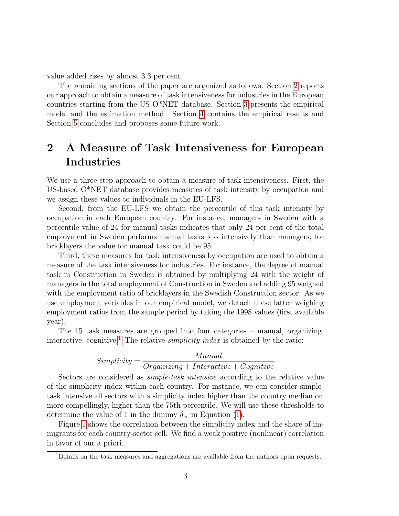value added rises by almost 3.3 per cent.

The remaining sections of the paper are organized as follows. Section [2](#page-3-0) reports our approach to obtain a measure of task intensiveness for industries in the European countries starting from the US O\*NET database. Section [3](#page-4-0) presents the empirical model and the estimation method. Section [4](#page-5-0) contains the empirical results and Section [5](#page-7-0) concludes and proposes some future work.

# <span id="page-3-0"></span>2 A Measure of Task Intensiveness for European Industries

We use a three-step approach to obtain a measure of task intensiveness. First, the US-based O\*NET database provides measures of task intensity by occupation and we assign these values to individuals in the EU-LFS.

Second, from the EU-LFS we obtain the percentile of this task intensity by occupation in each European country. For instance, managers in Sweden with a percentile value of 24 for manual tasks indicates that only 24 per cent of the total employment in Sweden performs manual tasks less intensively than managers; for bricklayers the value for manual task could be 95.

Third, these measures for task intensiveness by occupation are used to obtain a measure of the task intensiveness for industries. For instance, the degree of manual task in Construction in Sweden is obtained by multiplying 24 with the weight of managers in the total employment of Construction in Sweden and adding 95 weighed with the employment ratio of bricklayers in the Swedish Construction sector. As we use employment variables in our empirical model, we detach these latter weighing employment ratios from the sample period by taking the 1998 values (first available year).

The 15 task measures are grouped into four categories – manual, organizing, interactive, cognitive.<sup>[1](#page-3-1)</sup> The relative *simplicity index* is obtained by the ratio:

$$
Simplify = \frac{Manual}{Organizing + Interactive + Cognitive}
$$

Sectors are considered as *simple-task intensive* according to the relative value of the simplicity index within each country. For instance, we can consider simpletask intensive all sectors with a simplicity index higher than the country median or, more compellingly, higher than the 75th percentile. We will use these thresholds to determine the value of 1 in the dummy  $\delta_{sc}$  in Equation [\(1\)](#page-4-1).

Figure [1](#page-4-2) shows the correlation between the simplicity index and the share of immigrants for each country-sector cell. We find a weak positive (nonlinear) correlation in favor of our a priori.

<span id="page-3-1"></span><sup>1</sup>Details on the task measures and aggregations are available from the authors upon requests.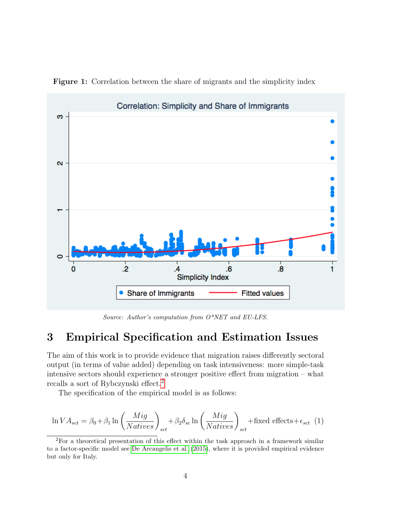

<span id="page-4-2"></span>Figure 1: Correlation between the share of migrants and the simplicity index

Source: Author's computation from O\*NET and EU-LFS.

## <span id="page-4-0"></span>3 Empirical Specification and Estimation Issues

The aim of this work is to provide evidence that migration raises differently sectoral output (in terms of value added) depending on task intensiveness: more simple-task intensive sectors should experience a stronger positive effect from migration – what recalls a sort of Rybczynski effect.[2](#page-4-3)

The specification of the empirical model is as follows:

<span id="page-4-1"></span>
$$
\ln VA_{sct} = \beta_0 + \beta_1 \ln \left( \frac{Mig}{Natives} \right)_{sct} + \beta_2 \delta_{sc} \ln \left( \frac{Mig}{Natives} \right)_{sct} + \text{fixed effects} + \epsilon_{sct} \tag{1}
$$

<span id="page-4-3"></span><sup>&</sup>lt;sup>2</sup>For a theoretical presentation of this effect within the task approach in a framework similar to a factor-specific model see [De Arcangelis et al.](#page-9-2) [\(2015\)](#page-9-2), where it is provided empirical evidence but only for Italy.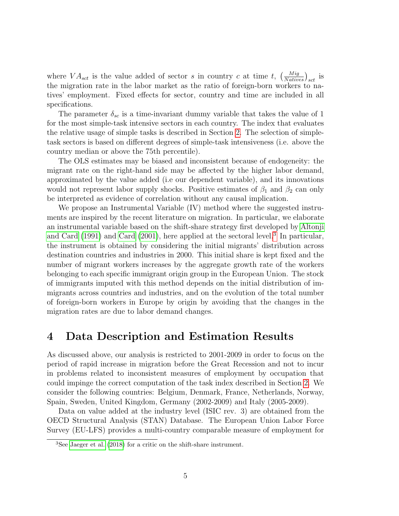where  $VA_{sct}$  is the value added of sector s in country c at time t,  $\left(\frac{Mig}{Natives}\right)_{sct}$  is the migration rate in the labor market as the ratio of foreign-born workers to natives' employment. Fixed effects for sector, country and time are included in all specifications.

The parameter  $\delta_{sc}$  is a time-invariant dummy variable that takes the value of 1 for the most simple-task intensive sectors in each country. The index that evaluates the relative usage of simple tasks is described in Section [2.](#page-3-0) The selection of simpletask sectors is based on different degrees of simple-task intensiveness (i.e. above the country median or above the 75th percentile).

The OLS estimates may be biased and inconsistent because of endogeneity: the migrant rate on the right-hand side may be affected by the higher labor demand, approximated by the value added (i.e our dependent variable), and its innovations would not represent labor supply shocks. Positive estimates of  $\beta_1$  and  $\beta_2$  can only be interpreted as evidence of correlation without any causal implication.

We propose an Instrumental Variable (IV) method where the suggested instruments are inspired by the recent literature on migration. In particular, we elaborate an instrumental variable based on the shift-share strategy first developed by [Altonji](#page-9-1) [and Card](#page-9-1) [\(1991\)](#page-9-1) and [Card](#page-9-3) [\(2001\)](#page-9-3), here applied at the sectoral level.<sup>[3](#page-5-1)</sup> In particular, the instrument is obtained by considering the initial migrants' distribution across destination countries and industries in 2000. This initial share is kept fixed and the number of migrant workers increases by the aggregate growth rate of the workers belonging to each specific immigrant origin group in the European Union. The stock of immigrants imputed with this method depends on the initial distribution of immigrants across countries and industries, and on the evolution of the total number of foreign-born workers in Europe by origin by avoiding that the changes in the migration rates are due to labor demand changes.

### <span id="page-5-0"></span>4 Data Description and Estimation Results

As discussed above, our analysis is restricted to 2001-2009 in order to focus on the period of rapid increase in migration before the Great Recession and not to incur in problems related to inconsistent measures of employment by occupation that could impinge the correct computation of the task index described in Section [2.](#page-3-0) We consider the following countries: Belgium, Denmark, France, Netherlands, Norway, Spain, Sweden, United Kingdom, Germany (2002-2009) and Italy (2005-2009).

Data on value added at the industry level (ISIC rev. 3) are obtained from the OECD Structural Analysis (STAN) Database. The European Union Labor Force Survey (EU-LFS) provides a multi-country comparable measure of employment for

<span id="page-5-1"></span><sup>3</sup>See [Jaeger et al.](#page-9-4) [\(2018\)](#page-9-4) for a critic on the shift-share instrument.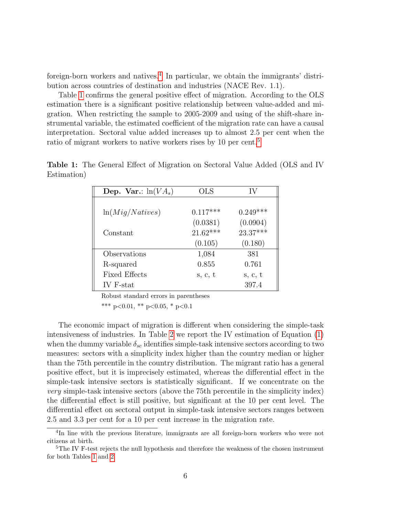foreign-born workers and natives.[4](#page-6-0) In particular, we obtain the immigrants' distribution across countries of destination and industries (NACE Rev. 1.1).

Table [1](#page-6-1) confirms the general positive effect of migration. According to the OLS estimation there is a significant positive relationship between value-added and migration. When restricting the sample to 2005-2009 and using of the shift-share instrumental variable, the estimated coefficient of the migration rate can have a causal interpretation. Sectoral value added increases up to almost 2.5 per cent when the ratio of migrant workers to native workers rises by 10 per cent.<sup>[5](#page-6-2)</sup>

| Dep. Var.: $ln(VA_s)$ | <b>OLS</b> | IV         |
|-----------------------|------------|------------|
|                       |            |            |
| ln(Miq/Natives)       | $0.117***$ | $0.249***$ |
|                       | (0.0381)   | (0.0904)   |
| Constant              | $21.62***$ | $23.37***$ |
|                       | (0.105)    | (0.180)    |
| Observations          | 1,084      | 381        |
| R-squared             | 0.855      | 0.761      |
| <b>Fixed Effects</b>  | s, c, t    | s, c, t    |
| IV F-stat             |            | 397.4      |

<span id="page-6-1"></span>Table 1: The General Effect of Migration on Sectoral Value Added (OLS and IV Estimation)

Robust standard errors in parentheses

\*\*\* p<0.01, \*\* p<0.05, \* p<0.1

The economic impact of migration is different when considering the simple-task intensiveness of industries. In Table [2](#page-7-1) we report the IV estimation of Equation [\(1\)](#page-4-1) when the dummy variable  $\delta_{sc}$  identifies simple-task intensive sectors according to two measures: sectors with a simplicity index higher than the country median or higher than the 75th percentile in the country distribution. The migrant ratio has a general positive effect, but it is imprecisely estimated, whereas the differential effect in the simple-task intensive sectors is statistically significant. If we concentrate on the very simple-task intensive sectors (above the 75th percentile in the simplicity index) the differential effect is still positive, but significant at the 10 per cent level. The differential effect on sectoral output in simple-task intensive sectors ranges between 2.5 and 3.3 per cent for a 10 per cent increase in the migration rate.

<span id="page-6-0"></span><sup>&</sup>lt;sup>4</sup>In line with the previous literature, immigrants are all foreign-born workers who were not citizens at birth.

<span id="page-6-2"></span><sup>&</sup>lt;sup>5</sup>The IV F-test rejects the null hypothesis and therefore the weakness of the chosen instrument for both Tables [1](#page-6-1) and [2.](#page-7-1)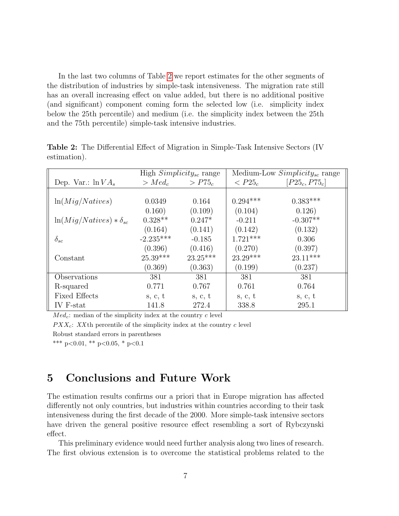In the last two columns of Table [2](#page-7-1) we report estimates for the other segments of the distribution of industries by simple-task intensiveness. The migration rate still has an overall increasing effect on value added, but there is no additional positive (and significant) component coming form the selected low (i.e. simplicity index below the 25th percentile) and medium (i.e. the simplicity index between the 25th and the 75th percentile) simple-task intensive industries.

|                                  | High $Simplify_{sc}$ range |            | Medium-Low $Simplify_{sc}$ range |                  |
|----------------------------------|----------------------------|------------|----------------------------------|------------------|
| Dep. Var.: $\ln VA_s$            | $> Med_c$                  | $> P75_c$  | $\rm <$ $P25_c$                  | $[P25_c, P75_c]$ |
|                                  |                            |            |                                  |                  |
| ln(Mig/Natives)                  | 0.0349                     | 0.164      | $0.294***$                       | $0.383***$       |
|                                  | 0.160)                     | (0.109)    | (0.104)                          | 0.126)           |
| $\ln(Mig/Natives) * \delta_{sc}$ | $0.328**$                  | $0.247*$   | $-0.211$                         | $-0.307**$       |
|                                  | (0.164)                    | (0.141)    | (0.142)                          | (0.132)          |
| $\delta_{sc}$                    | $-2.235***$                | $-0.185$   | $1.721***$                       | 0.306            |
|                                  | (0.396)                    | (0.416)    | (0.270)                          | (0.397)          |
| Constant                         | $25.39***$                 | $23.25***$ | $23.29***$                       | $23.11***$       |
|                                  | (0.369)                    | (0.363)    | (0.199)                          | (0.237)          |
| Observations                     | 381                        | 381        | 381                              | 381              |
| R-squared                        | 0.771                      | 0.767      | 0.761                            | 0.764            |
| <b>Fixed Effects</b>             | s, c, t                    | s, c, t    | s, c, t                          | s, c, t          |
| IV F-stat                        | 141.8                      | 272.4      | 338.8                            | 295.1            |

<span id="page-7-1"></span>Table 2: The Differential Effect of Migration in Simple-Task Intensive Sectors (IV estimation).

 $Med_c$ : median of the simplicity index at the country c level

 $PXX_c$ : XX<sup>th</sup> percentile of the simplicity index at the country c level

Robust standard errors in parentheses

\*\*\* p<0.01, \*\* p<0.05, \* p<0.1

# <span id="page-7-0"></span>5 Conclusions and Future Work

The estimation results confirms our a priori that in Europe migration has affected differently not only countries, but industries within countries according to their task intensiveness during the first decade of the 2000. More simple-task intensive sectors have driven the general positive resource effect resembling a sort of Rybczynski effect.

This preliminary evidence would need further analysis along two lines of research. The first obvious extension is to overcome the statistical problems related to the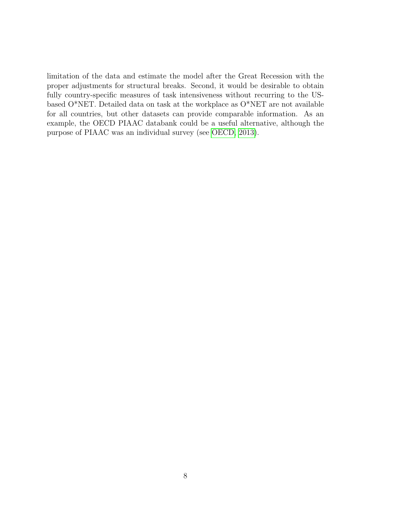limitation of the data and estimate the model after the Great Recession with the proper adjustments for structural breaks. Second, it would be desirable to obtain fully country-specific measures of task intensiveness without recurring to the USbased O\*NET. Detailed data on task at the workplace as O\*NET are not available for all countries, but other datasets can provide comparable information. As an example, the OECD PIAAC databank could be a useful alternative, although the purpose of PIAAC was an individual survey (see [OECD, 2013\)](#page-9-5).